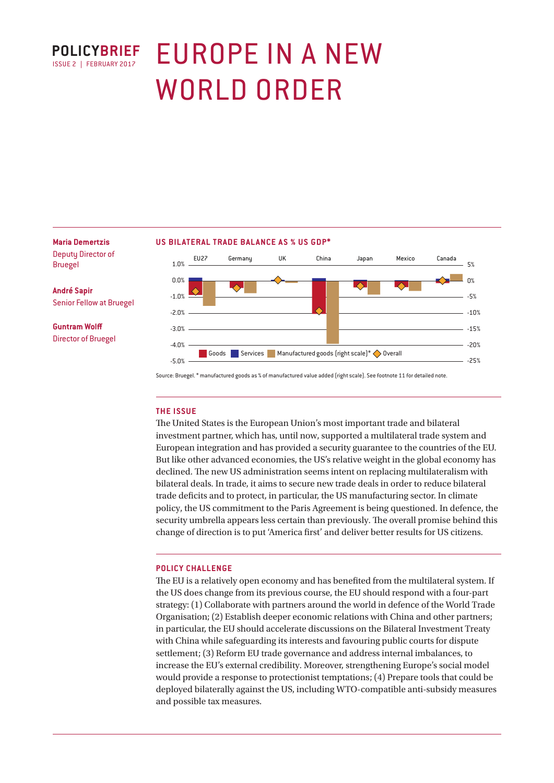

# EUROPE IN A NEW WORLD ORDER

# **Maria Demertzis**

Deputy Director of Bruegel

**André Sapir** Senior Fellow at Bruegel

**Guntram Wolff** Director of Bruegel

#### **US BILATERAL TRADE BALANCE AS % US GDP\***



Source: Bruegel. \* manufactured goods as % of manufactured value added (right scale). See footnote 11 for detailed note.

#### **THE ISSUE**

The United States is the European Union's most important trade and bilateral investment partner, which has, until now, supported a multilateral trade system and European integration and has provided a security guarantee to the countries of the EU. But like other advanced economies, the US's relative weight in the global economy has declined. The new US administration seems intent on replacing multilateralism with bilateral deals. In trade, it aims to secure new trade deals in order to reduce bilateral trade deficits and to protect, in particular, the US manufacturing sector. In climate policy, the US commitment to the Paris Agreement is being questioned. In defence, the security umbrella appears less certain than previously. The overall promise behind this change of direction is to put 'America first' and deliver better results for US citizens.

#### **POLICY CHALLENGE**

The EU is a relatively open economy and has benefited from the multilateral system. If the US does change from its previous course, the EU should respond with a four-part strategy: (1) Collaborate with partners around the world in defence of the World Trade Organisation; (2) Establish deeper economic relations with China and other partners; in particular, the EU should accelerate discussions on the Bilateral Investment Treaty with China while safeguarding its interests and favouring public courts for dispute settlement; (3) Reform EU trade governance and address internal imbalances, to increase the EU's external credibility. Moreover, strengthening Europe's social model would provide a response to protectionist temptations; (4) Prepare tools that could be deployed bilaterally against the US, including WTO-compatible anti-subsidy measures and possible tax measures.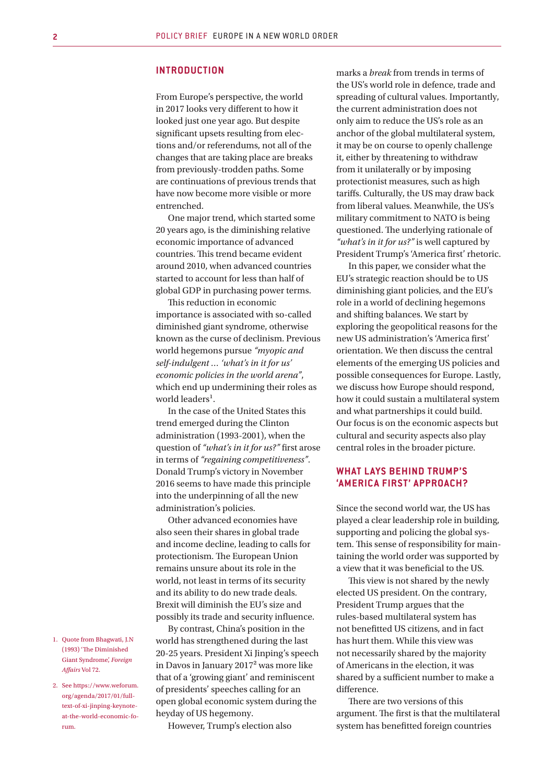#### **INTRODUCTION**

From Europe's perspective, the world in 2017 looks very different to how it looked just one year ago. But despite significant upsets resulting from elections and/or referendums, not all of the changes that are taking place are breaks from previously-trodden paths. Some are continuations of previous trends that have now become more visible or more entrenched.

One major trend, which started some 20 years ago, is the diminishing relative economic importance of advanced countries. This trend became evident around 2010, when advanced countries started to account for less than half of global GDP in purchasing power terms.

This reduction in economic importance is associated with so-called diminished giant syndrome, otherwise known as the curse of declinism. Previous world hegemons pursue *"myopic and self-indulgent … 'what's in it for us' economic policies in the world arena"*, which end up undermining their roles as world leaders<sup>1</sup>.

In the case of the United States this trend emerged during the Clinton administration (1993-2001), when the question of *"what's in it for us?"* first arose in terms of *"regaining competitiveness"*. Donald Trump's victory in November 2016 seems to have made this principle into the underpinning of all the new administration's policies.

Other advanced economies have also seen their shares in global trade and income decline, leading to calls for protectionism. The European Union remains unsure about its role in the world, not least in terms of its security and its ability to do new trade deals. Brexit will diminish the EU's size and possibly its trade and security influence.

By contrast, China's position in the world has strengthened during the last 20-25 years. President Xi Jinping's speech in Davos in January 2017² was more like that of a 'growing giant' and reminiscent of presidents' speeches calling for an open global economic system during the heyday of US hegemony.

However, Trump's election also

marks a *break* from trends in terms of the US's world role in defence, trade and spreading of cultural values. Importantly, the current administration does not only aim to reduce the US's role as an anchor of the global multilateral system, it may be on course to openly challenge it, either by threatening to withdraw from it unilaterally or by imposing protectionist measures, such as high tariffs. Culturally, the US may draw back from liberal values. Meanwhile, the US's military commitment to NATO is being questioned. The underlying rationale of *"what's in it for us?"* is well captured by President Trump's 'America first' rhetoric.

In this paper, we consider what the EU's strategic reaction should be to US diminishing giant policies, and the EU's role in a world of declining hegemons and shifting balances. We start by exploring the geopolitical reasons for the new US administration's 'America first' orientation. We then discuss the central elements of the emerging US policies and possible consequences for Europe. Lastly, we discuss how Europe should respond, how it could sustain a multilateral system and what partnerships it could build. Our focus is on the economic aspects but cultural and security aspects also play central roles in the broader picture.

#### **WHAT LAYS BEHIND TRUMP'S 'AMERICA FIRST' APPROACH?**

Since the second world war, the US has played a clear leadership role in building, supporting and policing the global system. This sense of responsibility for maintaining the world order was supported by a view that it was beneficial to the US.

This view is not shared by the newly elected US president. On the contrary, President Trump argues that the rules-based multilateral system has not benefitted US citizens, and in fact has hurt them. While this view was not necessarily shared by the majority of Americans in the election, it was shared by a sufficient number to make a difference.

There are two versions of this argument. The first is that the multilateral system has benefitted foreign countries

- 1. Quote from Bhagwati, J.N (1993) 'The Diminished Giant Syndrome', *Foreign Affairs* Vol 72.
- 2. See https://www.weforum. org/agenda/2017/01/fulltext-of-xi-jinping-keynoteat-the-world-economic-forum.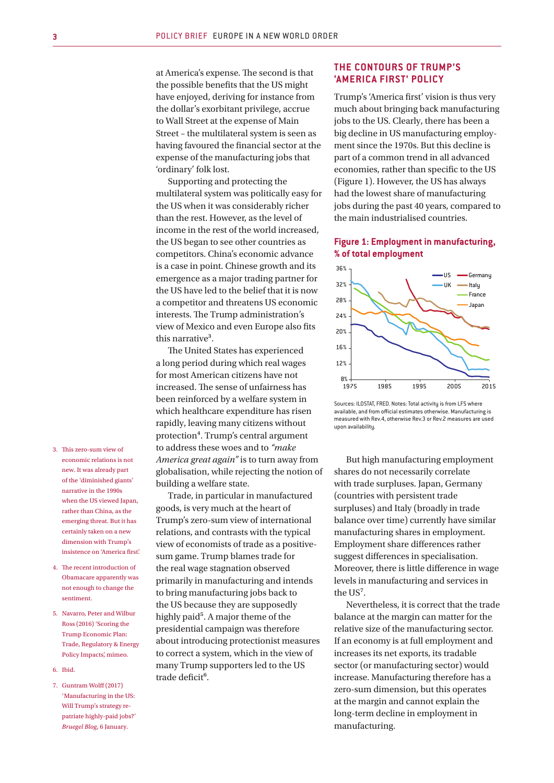at America's expense. The second is that the possible benefits that the US might have enjoyed, deriving for instance from the dollar's exorbitant privilege, accrue to Wall Street at the expense of Main Street – the multilateral system is seen as having favoured the financial sector at the expense of the manufacturing jobs that 'ordinary' folk lost.

Supporting and protecting the multilateral system was politically easy for the US when it was considerably richer than the rest. However, as the level of income in the rest of the world increased, the US began to see other countries as competitors. China's economic advance is a case in point. Chinese growth and its emergence as a major trading partner for the US have led to the belief that it is now a competitor and threatens US economic interests. The Trump administration's view of Mexico and even Europe also fits this narrative<sup>3</sup>.

The United States has experienced a long period during which real wages for most American citizens have not increased. The sense of unfairness has been reinforced by a welfare system in which healthcare expenditure has risen rapidly, leaving many citizens without protection⁴. Trump's central argument to address these woes and to *"make America great again"* is to turn away from globalisation, while rejecting the notion of building a welfare state.

Trade, in particular in manufactured goods, is very much at the heart of Trump's zero-sum view of international relations, and contrasts with the typical view of economists of trade as a positivesum game. Trump blames trade for the real wage stagnation observed primarily in manufacturing and intends to bring manufacturing jobs back to the US because they are supposedly highly paid<sup>5</sup>. A major theme of the presidential campaign was therefore about introducing protectionist measures to correct a system, which in the view of many Trump supporters led to the US trade deficit<sup>6</sup>.

# **THE CONTOURS OF TRUMP'S 'AMERICA FIRST' POLICY**

Trump's 'America first' vision is thus very much about bringing back manufacturing jobs to the US. Clearly, there has been a big decline in US manufacturing employment since the 1970s. But this decline is part of a common trend in all advanced economies, rather than specific to the US (Figure 1). However, the US has always had the lowest share of manufacturing jobs during the past 40 years, compared to the main industrialised countries.

#### **Figure 1: Employment in manufacturing, % of total employment**



Sources: ILOSTAT, FRED. Notes: Total activity is from LFS where available, and from official estimates otherwise. Manufacturing is measured with Rev.4, otherwise Rev.3 or Rev.2 measures are used upon availability.

But high manufacturing employment shares do not necessarily correlate with trade surpluses. Japan, Germany (countries with persistent trade surpluses) and Italy (broadly in trade balance over time) currently have similar manufacturing shares in employment. Employment share differences rather suggest differences in specialisation. Moreover, there is little difference in wage levels in manufacturing and services in the US<sup>7</sup>.

Nevertheless, it is correct that the trade balance at the margin can matter for the relative size of the manufacturing sector. If an economy is at full employment and increases its net exports, its tradable sector (or manufacturing sector) would increase. Manufacturing therefore has a zero-sum dimension, but this operates at the margin and cannot explain the long-term decline in employment in manufacturing.

- 3. This zero-sum view of economic relations is not new. It was already part of the 'diminished giants' narrative in the 1990s when the US viewed Japan, rather than China, as the emerging threat. But it has certainly taken on a new dimension with Trump's insistence on 'America first'.
- 4. The recent introduction of Obamacare apparently was not enough to change the sentiment.
- 5. Navarro, Peter and Wilbur Ross (2016) 'Scoring the Trump Economic Plan: Trade, Regulatory & Energy Policy Impacts', mimeo.
- 6. Ibid.
- 7. Guntram Wolff (2017) 'Manufacturing in the US: Will Trump's strategy repatriate highly-paid jobs?' *Bruegel Blog*, 6 January.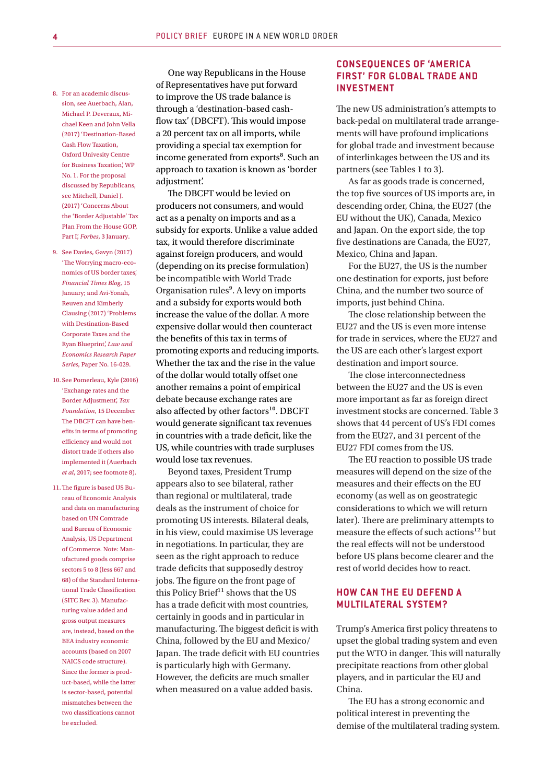- 8. For an academic discussion, see Auerbach, Alan, Michael P. Deveraux, Michael Keen and John Vella (2017) 'Destination-Based Cash Flow Taxation, Oxford Univesity Centre for Business Taxation', WP No. 1. For the proposal discussed by Republicans, see Mitchell, Daniel J. (2017) 'Concerns About the 'Border Adjustable' Tax Plan From the House GOP, Part I', *Forbes*, 3 January.
- 9. See Davies, Gavyn (2017) 'The Worrying macro-economics of US border taxes', *Financial Times Blog*, 15 January; and Avi-Yonah, Reuven and Kimberly Clausing (2017) 'Problems with Destination-Based Corporate Taxes and the Ryan Blueprint', *Law and Economics Research Paper Series*, Paper No. 16-029.
- 10. See Pomerleau, Kyle (2016) 'Exchange rates and the Border Adjustment', *Tax Foundation*, 15 December The DBCFT can have benefits in terms of promoting efficiency and would not distort trade if others also implemented it (Auerbach *et al*, 2017; see footnote 8).
- 11.The figure is based US Bureau of Economic Analysis and data on manufacturing based on UN Comtrade and Bureau of Economic Analysis, US Department of Commerce. Note: Manufactured goods comprise sectors 5 to 8 (less 667 and 68) of the Standard International Trade Classification (SITC Rev. 3). Manufacturing value added and gross output measures are, instead, based on the BEA industry economic accounts (based on 2007 NAICS code structure). Since the former is product-based, while the latter is sector-based, potential mismatches between the two classifications cannot be excluded.

One way Republicans in the House of Representatives have put forward to improve the US trade balance is through a 'destination-based cashflow tax' (DBCFT). This would impose a 20 percent tax on all imports, while providing a special tax exemption for income generated from exports<sup>8</sup>. Such an approach to taxation is known as 'border adjustment'.

The DBCFT would be levied on producers not consumers, and would act as a penalty on imports and as a subsidy for exports. Unlike a value added tax, it would therefore discriminate against foreign producers, and would (depending on its precise formulation) be incompatible with World Trade Organisation rules⁹. A levy on imports and a subsidy for exports would both increase the value of the dollar. A more expensive dollar would then counteract the benefits of this tax in terms of promoting exports and reducing imports. Whether the tax and the rise in the value of the dollar would totally offset one another remains a point of empirical debate because exchange rates are also affected by other factors<sup>10</sup>. DBCFT would generate significant tax revenues in countries with a trade deficit, like the US, while countries with trade surpluses would lose tax revenues.

Beyond taxes, President Trump appears also to see bilateral, rather than regional or multilateral, trade deals as the instrument of choice for promoting US interests. Bilateral deals, in his view, could maximise US leverage in negotiations. In particular, they are seen as the right approach to reduce trade deficits that supposedly destroy jobs. The figure on the front page of this Policy Brief $<sup>11</sup>$  shows that the US</sup> has a trade deficit with most countries, certainly in goods and in particular in manufacturing. The biggest deficit is with China, followed by the EU and Mexico/ Japan. The trade deficit with EU countries is particularly high with Germany. However, the deficits are much smaller when measured on a value added basis.

### **CONSEQUENCES OF 'AMERICA FIRST' FOR GLOBAL TRADE AND INVESTMENT**

The new US administration's attempts to back-pedal on multilateral trade arrangements will have profound implications for global trade and investment because of interlinkages between the US and its partners (see Tables 1 to 3).

As far as goods trade is concerned, the top five sources of US imports are, in descending order, China, the EU27 (the EU without the UK), Canada, Mexico and Japan. On the export side, the top five destinations are Canada, the EU27, Mexico, China and Japan.

For the EU27, the US is the number one destination for exports, just before China, and the number two source of imports, just behind China.

The close relationship between the EU27 and the US is even more intense for trade in services, where the EU27 and the US are each other's largest export destination and import source.

The close interconnectedness between the EU27 and the US is even more important as far as foreign direct investment stocks are concerned. Table 3 shows that 44 percent of US's FDI comes from the EU27, and 31 percent of the EU27 FDI comes from the US.

The EU reaction to possible US trade measures will depend on the size of the measures and their effects on the EU economy (as well as on geostrategic considerations to which we will return later). There are preliminary attempts to measure the effects of such actions<sup>12</sup> but the real effects will not be understood before US plans become clearer and the rest of world decides how to react.

#### **HOW CAN THE EU DEFEND A MULTILATERAL SYSTEM?**

Trump's America first policy threatens to upset the global trading system and even put the WTO in danger. This will naturally precipitate reactions from other global players, and in particular the EU and China.

The EU has a strong economic and political interest in preventing the demise of the multilateral trading system.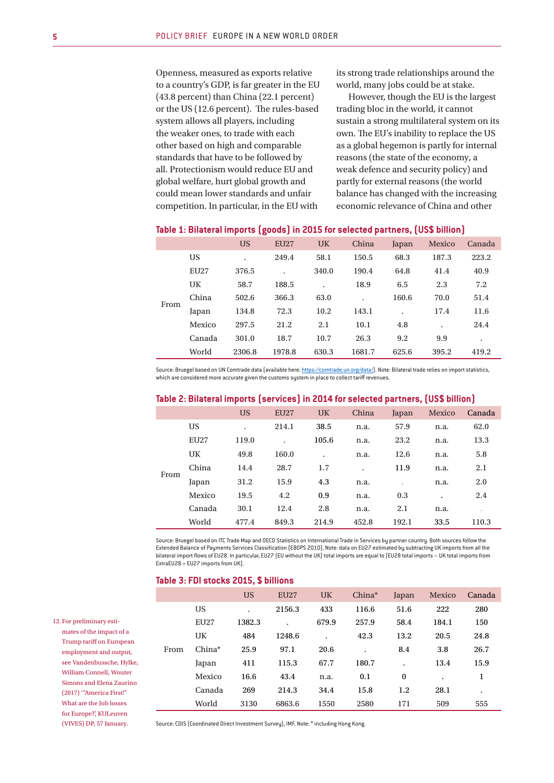Openness, measured as exports relative to a country's GDP, is far greater in the EU (43.8 percent) than China (22.1 percent) or the US (12.6 percent). The rules-based system allows all players, including the weaker ones, to trade with each other based on high and comparable standards that have to be followed by all. Protectionism would reduce EU and global welfare, hurt global growth and could mean lower standards and unfair competition. In particular, in the EU with

its strong trade relationships around the world, many jobs could be at stake.

However, though the EU is the largest trading bloc in the world, it cannot sustain a strong multilateral system on its own. The EU's inability to replace the US as a global hegemon is partly for internal reasons (the state of the economy, a weak defence and security policy) and partly for external reasons (the world balance has changed with the increasing economic relevance of China and other

| Table 1: Bilateral imports (goods) in 2015 for selected partners, (US\$ billion) |  |
|----------------------------------------------------------------------------------|--|
|                                                                                  |  |

|      |             | US     | <b>EU27</b> | UK    | China  | Japan | Mexico | Canada |
|------|-------------|--------|-------------|-------|--------|-------|--------|--------|
| From | <b>US</b>   |        | 249.4       | 58.1  | 150.5  | 68.3  | 187.3  | 223.2  |
|      | <b>EU27</b> | 376.5  |             | 340.0 | 190.4  | 64.8  | 41.4   | 40.9   |
|      | <b>UK</b>   | 58.7   | 188.5       |       | 18.9   | 6.5   | 2.3    | 7.2    |
|      | China       | 502.6  | 366.3       | 63.0  |        | 160.6 | 70.0   | 51.4   |
|      | Japan       | 134.8  | 72.3        | 10.2  | 143.1  |       | 17.4   | 11.6   |
|      | Mexico      | 297.5  | 21.2        | 2.1   | 10.1   | 4.8   |        | 24.4   |
|      | Canada      | 301.0  | 18.7        | 10.7  | 26.3   | 9.2   | 9.9    | ۰      |
|      | World       | 2306.8 | 1978.8      | 630.3 | 1681.7 | 625.6 | 395.2  | 419.2  |

Source: Bruegel based on UN Comtrade data (available here: https://comtrade.un.org/data/). Note: Bilateral trade relies on import statistics, which are considered more accurate given the customs system in place to collect tariff revenues.

|      |             | <b>US</b> | <b>EU27</b> | <b>UK</b> | China     | Japan | Mexico    | Canada |  |
|------|-------------|-----------|-------------|-----------|-----------|-------|-----------|--------|--|
| From | <b>US</b>   |           | 214.1       | 38.5      | n.a.      | 57.9  | n.a.      | 62.0   |  |
|      | <b>EU27</b> | 119.0     |             | 105.6     | n.a.      | 23.2  | n.a.      | 13.3   |  |
|      | UK          | 49.8      | 160.0       | $\bullet$ | n.a.      | 12.6  | n.a.      | 5.8    |  |
|      | China       | 14.4      | 28.7        | 1.7       | $\bullet$ | 11.9  | n.a.      | 2.1    |  |
|      | Japan       | 31.2      | 15.9        | 4.3       | n.a.      |       | n.a.      | 2.0    |  |
|      | Mexico      | 19.5      | 4.2         | 0.9       | n.a.      | 0.3   | $\bullet$ | 2.4    |  |
|      | Canada      | 30.1      | 12.4        | 2.8       | n.a.      | 2.1   | n.a.      |        |  |
|      | World       | 477.4     | 849.3       | 214.9     | 452.8     | 192.1 | 33.5      | 110.3  |  |

#### **Table 2: Bilateral imports (services) in 2014 for selected partners, (US\$ billion)**

Source: Bruegel based on ITC Trade Map and OECD Statistics on International Trade in Services by partner country. Both sources follow the Extended Balance of Payments Services Classification (EBOPS 2010). Note: data on EU27 estimated by subtracting UK imports from all the bilateral import flows of EU28. In particular, EU27 (EU without the UK) total imports are equal to (EU28 total imports – UK total imports from ExtraEU28 + EU27 imports from UK).

| Table 3: FDI stocks 2015, \$ billions |  |  |  |
|---------------------------------------|--|--|--|
|---------------------------------------|--|--|--|

|      |             | <b>US</b> | EU <sub>27</sub> | <b>UK</b> | China* | Japan    | Mexico | Canada    |
|------|-------------|-----------|------------------|-----------|--------|----------|--------|-----------|
|      | <b>US</b>   |           | 2156.3           | 433       | 116.6  | 51.6     | 222    | 280       |
|      | <b>EU27</b> | 1382.3    |                  | 679.9     | 257.9  | 58.4     | 184.1  | 150       |
|      | UK          | 484       | 1248.6           | ٠         | 42.3   | 13.2     | 20.5   | 24.8      |
| From | China*      | 25.9      | 97.1             | 20.6      |        | 8.4      | 3.8    | 26.7      |
|      | Japan       | 411       | 115.3            | 67.7      | 180.7  |          | 13.4   | 15.9      |
|      | Mexico      | 16.6      | 43.4             | n.a.      | 0.1    | $\bf{0}$ | ٠      | 1         |
|      | Canada      | 269       | 214.3            | 34.4      | 15.8   | 1.2      | 28.1   | $\bullet$ |
|      | World       | 3130      | 6863.6           | 1550      | 2580   | 171      | 509    | 555       |
|      |             |           |                  |           |        |          |        |           |

mates of the impact of a Trump tariff on European employment and output, see Vandenbussche, Hylke, William Connell, Wouter Simons and Elena Zaurino (2017) '"America First!" What are the Job losses for Europe?', KULeuven

(VIVES) DP, 57 January.

12. For preliminary esti-

Source: CDIS (Coordinated Direct Investment Survey), IMF. Note: \* including Hong Kong.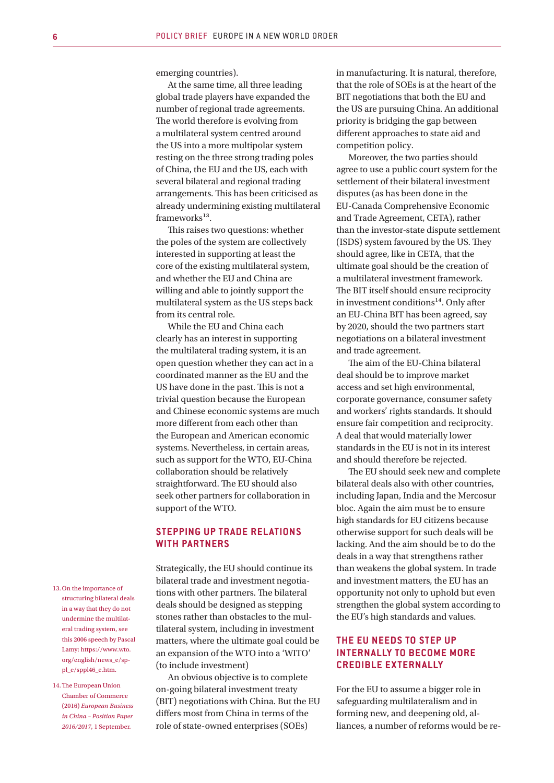emerging countries).

At the same time, all three leading global trade players have expanded the number of regional trade agreements. The world therefore is evolving from a multilateral system centred around the US into a more multipolar system resting on the three strong trading poles of China, the EU and the US, each with several bilateral and regional trading arrangements. This has been criticised as already undermining existing multilateral frameworks $13$ .

This raises two questions: whether the poles of the system are collectively interested in supporting at least the core of the existing multilateral system, and whether the EU and China are willing and able to jointly support the multilateral system as the US steps back from its central role.

While the EU and China each clearly has an interest in supporting the multilateral trading system, it is an open question whether they can act in a coordinated manner as the EU and the US have done in the past. This is not a trivial question because the European and Chinese economic systems are much more different from each other than the European and American economic systems. Nevertheless, in certain areas, such as support for the WTO, EU-China collaboration should be relatively straightforward. The EU should also seek other partners for collaboration in support of the WTO.

#### **STEPPING UP TRADE RELATIONS WITH PARTNERS**

Strategically, the EU should continue its bilateral trade and investment negotiations with other partners. The bilateral deals should be designed as stepping stones rather than obstacles to the multilateral system, including in investment matters, where the ultimate goal could be an expansion of the WTO into a 'WITO' (to include investment)

An obvious objective is to complete on-going bilateral investment treaty (BIT) negotiations with China. But the EU differs most from China in terms of the role of state-owned enterprises (SOEs)

in manufacturing. It is natural, therefore, that the role of SOEs is at the heart of the BIT negotiations that both the EU and the US are pursuing China. An additional priority is bridging the gap between different approaches to state aid and competition policy.

Moreover, the two parties should agree to use a public court system for the settlement of their bilateral investment disputes (as has been done in the EU-Canada Comprehensive Economic and Trade Agreement, CETA), rather than the investor-state dispute settlement (ISDS) system favoured by the US. They should agree, like in CETA, that the ultimate goal should be the creation of a multilateral investment framework. The BIT itself should ensure reciprocity in investment conditions $^{14}$ . Only after an EU-China BIT has been agreed, say by 2020, should the two partners start negotiations on a bilateral investment and trade agreement.

The aim of the EU-China bilateral deal should be to improve market access and set high environmental, corporate governance, consumer safety and workers' rights standards. It should ensure fair competition and reciprocity. A deal that would materially lower standards in the EU is not in its interest and should therefore be rejected.

The EU should seek new and complete bilateral deals also with other countries, including Japan, India and the Mercosur bloc. Again the aim must be to ensure high standards for EU citizens because otherwise support for such deals will be lacking. And the aim should be to do the deals in a way that strengthens rather than weakens the global system. In trade and investment matters, the EU has an opportunity not only to uphold but even strengthen the global system according to the EU's high standards and values.

## **THE EU NEEDS TO STEP UP INTERNALLY TO BECOME MORE CREDIBLE EX TERNALLY**

For the EU to assume a bigger role in safeguarding multilateralism and in forming new, and deepening old, alliances, a number of reforms would be re-

- 13.On the importance of structuring bilateral deals in a way that they do not undermine the multilateral trading system, see this 2006 speech by Pascal Lamy: https://www.wto. org/english/news\_e/sppl\_e/sppl46\_e.htm.
- 14.The European Union Chamber of Commerce (2016) *European Business in China – Position Paper 2016/2017*, 1 September.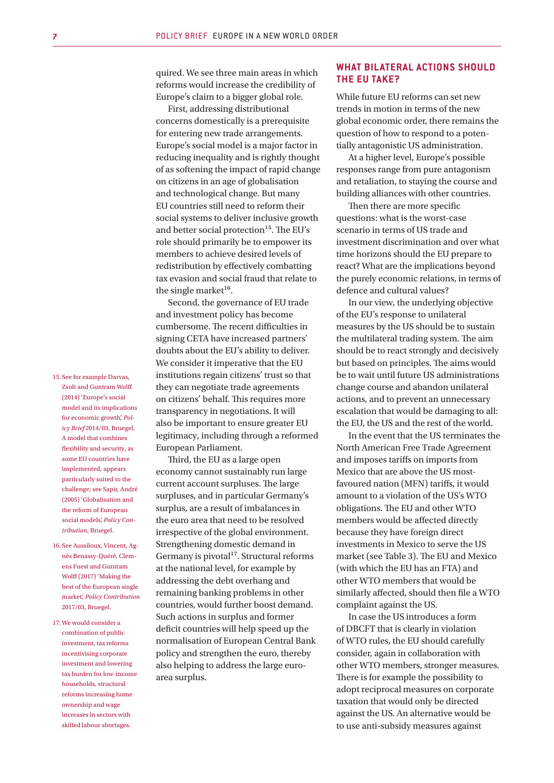quired. We see three main areas in which reforms would increase the credibility of Europe's claim to a bigger global role.

First, addressing distributional concerns domestically is a prerequisite for entering new trade arrangements. Europe's social model is a major factor in reducing inequality and is rightly thought of as softening the impact of rapid change on citizens in an age of globalisation and technological change. But many EU countries still need to reform their social systems to deliver inclusive growth and better social protection<sup>15</sup>. The EU's role should primarily be to empower its members to achieve desired levels of redistribution by effectively combatting tax evasion and social fraud that relate to the single market $^{16}$ .

Second, the governance of EU trade and investment policy has become cumbersome. The recent difficulties in signing CETA have increased partners' doubts about the EU's ability to deliver. We consider it imperative that the EU institutions regain citizens' trust so that they can negotiate trade agreements on citizens' behalf. This requires more transparency in negotiations. It will also be important to ensure greater EU legitimacy, including through a reformed European Parliament.

Third, the EU as a large open economy cannot sustainably run large current account surpluses. The large surpluses, and in particular Germany's surplus, are a result of imbalances in the euro area that need to be resolved irrespective of the global environment. Strengthening domestic demand in Germany is pivotal<sup>17</sup>. Structural reforms at the national level, for example by addressing the debt overhang and remaining banking problems in other countries, would further boost demand. Such actions in surplus and former deficit countries will help speed up the normalisation of European Central Bank policy and strengthen the euro, thereby also helping to address the large euroarea surplus.

# **WHAT BILATERAL ACTIONS SHOULD THE EU TAKE?**

While future EU reforms can set new trends in motion in terms of the new global economic order, there remains the question of how to respond to a potentially antagonistic US administration.

At a higher level, Europe's possible responses range from pure antagonism and retaliation, to staying the course and building alliances with other countries.

Then there are more specific questions: what is the worst-case scenario in terms of US trade and investment discrimination and over what time horizons should the EU prepare to react? What are the implications beyond the purely economic relations, in terms of defence and cultural values?

In our view, the underlying objective of the EU's response to unilateral measures by the US should be to sustain the multilateral trading system. The aim should be to react strongly and decisively but based on principles. The aims would be to wait until future US administrations change course and abandon unilateral actions, and to prevent an unnecessary escalation that would be damaging to all: the EU, the US and the rest of the world.

In the event that the US terminates the North American Free Trade Agreement and imposes tariffs on imports from Mexico that are above the US mostfavoured nation (MFN) tariffs, it would amount to a violation of the US's WTO obligations. The EU and other WTO members would be affected directly because they have foreign direct investments in Mexico to serve the US market (see Table 3). The EU and Mexico (with which the EU has an FTA) and other WTO members that would be similarly affected, should then file a WTO complaint against the US.

In case the US introduces a form of DBCFT that is clearly in violation of WTO rules, the EU should carefully consider, again in collaboration with other WTO members, stronger measures. There is for example the possibility to adopt reciprocal measures on corporate taxation that would only be directed against the US. An alternative would be to use anti-subsidy measures against

15. See for example Darvas, Zsolt and Guntram Wolff (2014) 'Europe's social model and its implications for economic growth', *Policy Brief* 2014/03, Bruegel. A model that combines flexibility and security, as some EU countries have implemented, appears particularly suited to the challenge; see Sapir, André (2005) 'Globalisation and the reform of European social models', *Policy Contribution*, Bruegel.

- 16. See Aussiloux, Vincent, Agnès Benassy-Quéré, Clemens Fuest and Guntram Wolff (2017) 'Making the best of the European single market', *Policy Contribution* 2017/03, Bruegel.
- 17.We would consider a combination of public investment, tax reforms incentivising corporate investment and lowering tax burden for low-income households, structural reforms increasing home ownership and wage increases in sectors with skilled labour shortages.